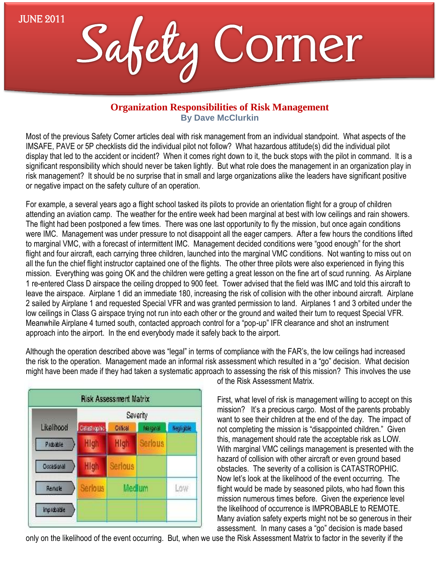JUNE 2011



## **Organization Responsibilities of Risk Management By Dave McClurkin**

Most of the previous Safety Corner articles deal with risk management from an individual standpoint. What aspects of the IMSAFE, PAVE or 5P checklists did the individual pilot not follow? What hazardous attitude(s) did the individual pilot display that led to the accident or incident? When it comes right down to it, the buck stops with the pilot in command. It is a significant responsibility which should never be taken lightly. But what role does the management in an organization play in risk management? It should be no surprise that in small and large organizations alike the leaders have significant positive or negative impact on the safety culture of an operation.

For example, a several years ago a flight school tasked its pilots to provide an orientation flight for a group of children attending an aviation camp. The weather for the entire week had been marginal at best with low ceilings and rain showers. The flight had been postponed a few times. There was one last opportunity to fly the mission, but once again conditions were IMC. Management was under pressure to not disappoint all the eager campers. After a few hours the conditions lifted to marginal VMC, with a forecast of intermittent IMC. Management decided conditions were "good enough" for the short flight and four aircraft, each carrying three children, launched into the marginal VMC conditions. Not wanting to miss out on all the fun the chief flight instructor captained one of the flights. The other three pilots were also experienced in flying this mission. Everything was going OK and the children were getting a great lesson on the fine art of scud running. As Airplane 1 re-entered Class D airspace the ceiling dropped to 900 feet. Tower advised that the field was IMC and told this aircraft to leave the airspace. Airplane 1 did an immediate 180, increasing the risk of collision with the other inbound aircraft. Airplane 2 sailed by Airplane 1 and requested Special VFR and was granted permission to land. Airplanes 1 and 3 orbited under the low ceilings in Class G airspace trying not run into each other or the ground and waited their turn to request Special VFR. Meanwhile Airplane 4 turned south, contacted approach control for a "pop-up" IFR clearance and shot an instrument approach into the airport. In the end everybody made it safely back to the airport.

Although the operation described above was "legal" in terms of compliance with the FAR's, the low ceilings had increased the risk to the operation. Management made an informal risk assessment which resulted in a "go" decision. What decision might have been made if they had taken a systematic approach to assessing the risk of this mission? This involves the use



of the Risk Assessment Matrix.

First, what level of risk is management willing to accept on this mission? It's a precious cargo. Most of the parents probably want to see their children at the end of the day. The impact of not completing the mission is "disappointed children." Given this, management should rate the acceptable risk as LOW. With marginal VMC ceilings management is presented with the hazard of collision with other aircraft or even ground based obstacles. The severity of a collision is CATASTROPHIC. Now let's look at the likelihood of the event occurring. The flight would be made by seasoned pilots, who had flown this mission numerous times before. Given the experience level the likelihood of occurrence is IMPROBABLE to REMOTE. Many aviation safety experts might not be so generous in their assessment. In many cases a "go" decision is made based

only on the likelihood of the event occurring. But, when we use the Risk Assessment Matrix to factor in the severity if the